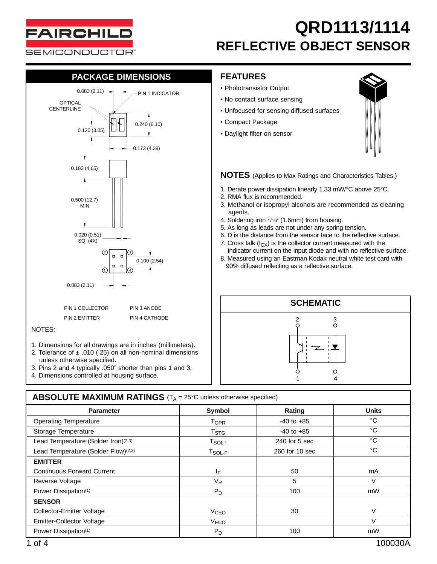

### **PACKAGE DIMENSIONS**



- 1. Dimensions for all drawings are in inches (millimeters).
- 2. Tolerance of  $\pm$  .010 (.25) on all non-nominal dimensions unless otherwise specified.
- 3. Pins 2 and 4 typically .050" shorter than pins 1 and 3.
- 4. Dimensions controlled at housing surface.

#### **FEATURES**

- Phototransistor Output
- No contact surface sensing
- Unfocused for sensing diffused surfaces
- Compact Package
- Daylight filter on sensor



**NOTES** (Applies to Max Ratings and Characteristics Tables.)

- 1. Derate power dissipation linearly 1.33 mW/°C above 25°C.
- 2. RMA flux is recommended.
- 3. Methanol or isopropyl alcohols are recommended as cleaning agents.
- 4. Soldering iron 1/16" (1.6mm) from housing.
- 5. As long as leads are not under any spring tension.
- 6. D is the distance from the sensor face to the reflective surface.
- 7. Cross talk  $(I_{CX})$  is the collector current measured with the
- indicator current on the input diode and with no reflective surface. 8. Measured using an Eastman Kodak neutral white test card with
- 90% diffused reflecting as a reflective surface.



| <b>ABSOLUTE MAXIMUM RATINGS</b> ( $T_A = 25^{\circ}$ C unless otherwise specified) |                        |                |              |  |  |  |  |  |
|------------------------------------------------------------------------------------|------------------------|----------------|--------------|--|--|--|--|--|
| <b>Parameter</b>                                                                   | Symbol<br>Rating       |                | <b>Units</b> |  |  |  |  |  |
| <b>Operating Temperature</b>                                                       | <b>TOPR</b>            | $-40$ to $+85$ | °C           |  |  |  |  |  |
| Storage Temperature                                                                | T <sub>STG</sub>       | $-40$ to $+85$ | °C           |  |  |  |  |  |
| Lead Temperature (Solder Iron)(2,3)                                                | $T_{SOL-I}$            | 240 for 5 sec  | °C           |  |  |  |  |  |
| Lead Temperature (Solder Flow) <sup>(2,3)</sup>                                    | $T_{SOL-F}$            | 260 for 10 sec | °C           |  |  |  |  |  |
| <b>EMITTER</b>                                                                     |                        |                |              |  |  |  |  |  |
| <b>Continuous Forward Current</b>                                                  | ΙF                     | 50             | mA           |  |  |  |  |  |
| Reverse Voltage                                                                    | V <sub>R</sub>         | 5              | V            |  |  |  |  |  |
| Power Dissipation(1)                                                               | $P_D$                  | 100            | mW           |  |  |  |  |  |
| <b>SENSOR</b>                                                                      |                        |                |              |  |  |  |  |  |
| <b>Collector-Emitter Voltage</b>                                                   | <b>V<sub>CEO</sub></b> | 30             | V            |  |  |  |  |  |
| <b>Emitter-Collector Voltage</b>                                                   | V <sub>ECO</sub>       |                | V            |  |  |  |  |  |
| Power Dissipation(1)                                                               | $P_D$                  | 100            | mW           |  |  |  |  |  |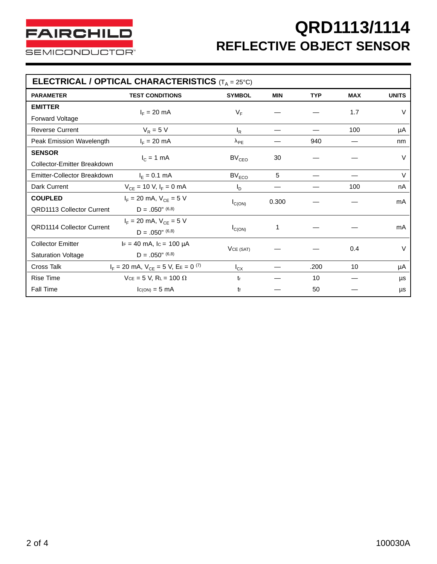| <b>ELECTRICAL / OPTICAL CHARACTERISTICS</b> $(T_A = 25^\circ C)$ |                                                         |                   |            |            |            |              |  |  |  |
|------------------------------------------------------------------|---------------------------------------------------------|-------------------|------------|------------|------------|--------------|--|--|--|
| <b>PARAMETER</b>                                                 | <b>TEST CONDITIONS</b>                                  | <b>SYMBOL</b>     | <b>MIN</b> | <b>TYP</b> | <b>MAX</b> | <b>UNITS</b> |  |  |  |
| <b>EMITTER</b>                                                   | $I_F = 20$ mA                                           | $V_F$             |            |            | 1.7        | $\vee$       |  |  |  |
| Forward Voltage                                                  |                                                         |                   |            |            |            |              |  |  |  |
| <b>Reverse Current</b>                                           | $V_R = 5 V$                                             | $I_R$             |            |            | 100        | μA           |  |  |  |
| Peak Emission Wavelength                                         | $I_F = 20$ mA                                           | $\lambda_{PE}$    |            | 940        |            | nm           |  |  |  |
| <b>SENSOR</b>                                                    |                                                         | BV <sub>CEO</sub> | 30         |            |            | $\vee$       |  |  |  |
| Collector-Emitter Breakdown                                      | $I_c = 1$ mA                                            |                   |            |            |            |              |  |  |  |
| Emitter-Collector Breakdown                                      | $I_F = 0.1$ mA                                          | BV <sub>ECO</sub> | 5          |            |            | $\vee$       |  |  |  |
| Dark Current                                                     | $V_{CE}$ = 10 V, $I_F$ = 0 mA                           | $I_{\text{D}}$    |            |            | 100        | nA           |  |  |  |
| <b>COUPLED</b>                                                   | $I_F = 20$ mA, $V_{CE} = 5$ V                           | $I_{C(ON)}$       | 0.300      |            |            | mA           |  |  |  |
| <b>QRD1113 Collector Current</b>                                 | $D = .050"$ (6,8)                                       |                   |            |            |            |              |  |  |  |
| <b>QRD1114 Collector Current</b>                                 | $I_F = 20$ mA, $V_{CE} = 5$ V                           | $I_{C(ON)}$       | 1          |            |            | mA           |  |  |  |
|                                                                  | $D = .050$ " (6,8)                                      |                   |            |            |            |              |  |  |  |
| <b>Collector Emitter</b>                                         | $IF = 40$ mA, $Ic = 100$ µA                             |                   |            |            | 0.4        | V            |  |  |  |
| <b>Saturation Voltage</b>                                        | $D = .050$ " (6,8)                                      | VCE (SAT)         |            |            |            |              |  |  |  |
| Cross Talk                                                       | $I_F = 20$ mA, $V_{CE} = 5$ V, $E_E = 0$ <sup>(7)</sup> | $I_{CX}$          |            | .200       | 10         | μA           |  |  |  |
| <b>Rise Time</b>                                                 | $V_{CE} = 5 V$ , R <sub>L</sub> = 100 $\Omega$          | tr                |            | 10         |            | μs           |  |  |  |
| <b>Fall Time</b>                                                 | $lc(ON) = 5 mA$                                         | tf                |            | 50         |            | μs           |  |  |  |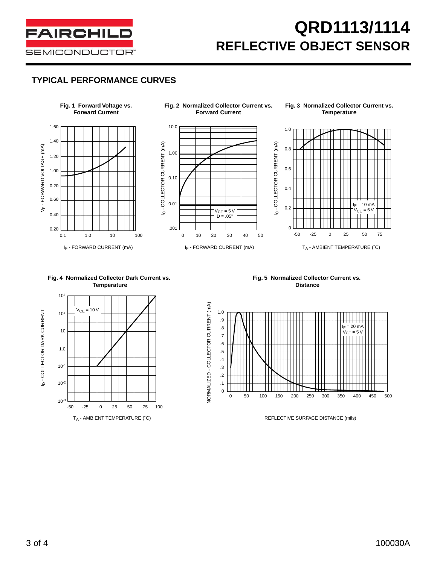

#### **TYPICAL PERFORMANCE CURVES**





 $V_{CE} = 10 V$ 

**Fig. 5 Normalized Collector Current vs. Distance**



ID - COLLECTOR DARK CURRENT

**b** - COLLECTOR DARK CURRENT

102

101

10

1.0

10-1

10-2

10-3